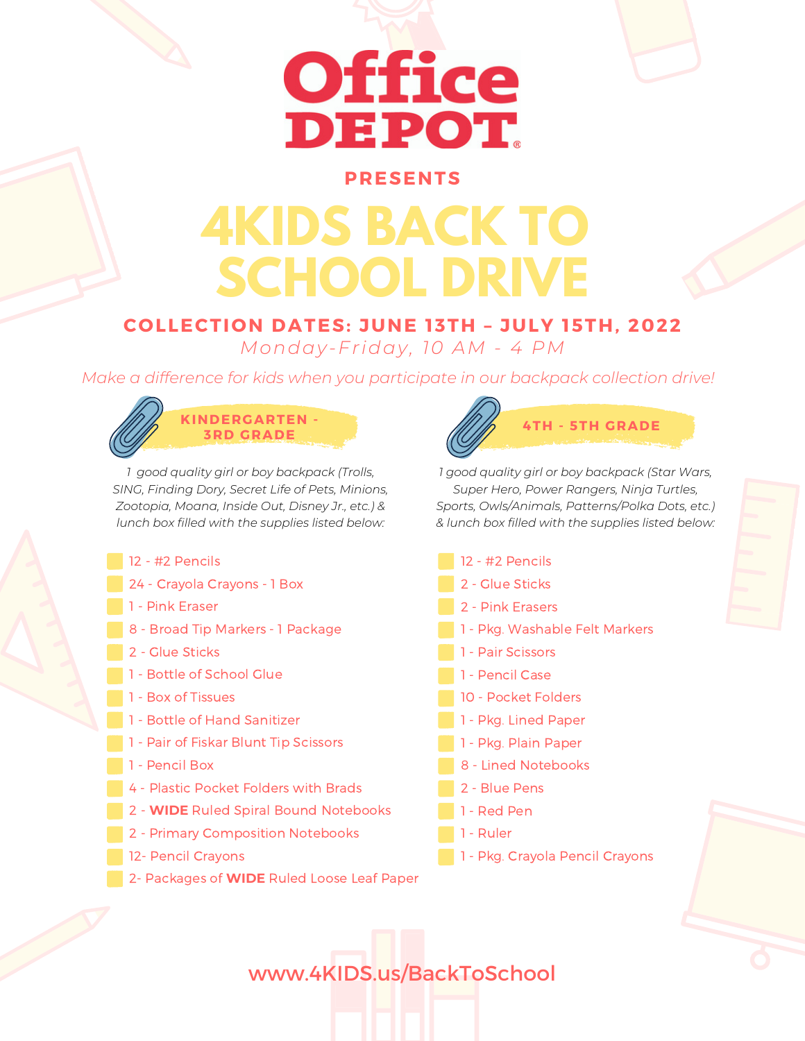# **Office** DEPOT

### **PRESENTS**

## **4KIDS BACK TO SCHOOL DRIVE**

### **COLLECTION DATES: JUNE 13TH – JULY 15TH, 2022** *Monday-Friday, 10 AM - 4 PM*

*Make a difference for kids when you participate in our backpack collection drive!*



*1 good quality girl or boy backpack (Trolls, SING, Finding Dory, Secret Life of Pets, Minions, Zootopia, Moana, Inside Out, Disney Jr., etc.) & lunch box filled with the supplies listed below:*

- 12 #2 Pencils
- 24 Crayola Crayons 1 Box
- 1 Pink Eraser
- 8 Broad Tip Markers 1 Package
- 2 Glue Sticks
- 1 Bottle of School Glue
- 1 Box of Tissues
- 1 Bottle of Hand Sanitizer
- 1 Pair of Fiskar Blunt Tip Scissors
- 1 Pencil Box
- 4 Plastic Pocket Folders with Brads
- 2 **WIDE** Ruled Spiral Bound Notebooks
- 2 Primary Composition Notebooks
- 12- Pencil Crayons
- 2- Packages of **WIDE** Ruled Loose Leaf Paper



*1 good quality girl or boy backpack (Star Wars, Super Hero, Power Rangers, Ninja Turtles, Sports, Owls/Animals, Patterns/Polka Dots, etc.) & lunch box filled with the supplies listed below:*

 - #2 Pencils - Glue Sticks - Pink Erasers - Pkg. Washable Felt Markers - Pair Scissors - Pencil Case - Pocket Folders - Pkg. Lined Paper - Pkg. Plain Paper - Lined Notebooks - Blue Pens - Red Pen 1 - Ruler - Pkg. Crayola Pencil Crayons

www.4KIDS.us/BackToSchool